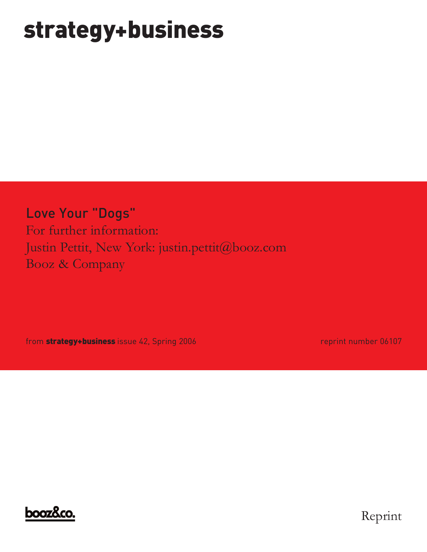# **strategy+business**

Love Your "Dogs" For further information: Justin Pettit, New York: justin.pettit@booz.com Booz & Company

from **strategy+business** issue 42, Spring 2006 **reprint number 06107** reprint number 06107



Reprint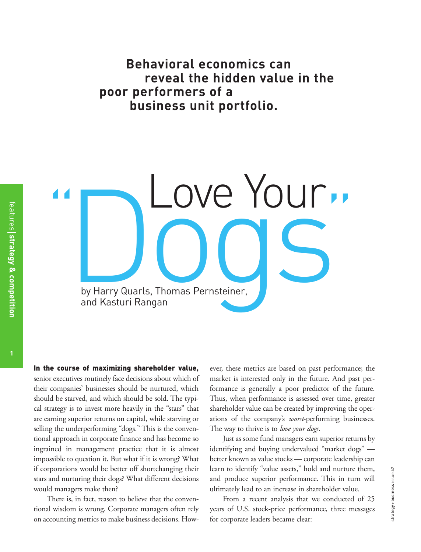**Behavioral economics can reveal the hidden value in the poor performers of a business unit portfolio.**

De Your by Harry Quarls, Thomas Pernsteiner, and Kasturi Rangan " Love Your"

**In the course of maximizing shareholder value,**  senior executives routinely face decisions about which of their companies' businesses should be nurtured, which should be starved, and which should be sold. The typical strategy is to invest more heavily in the "stars" that are earning superior returns on capital, while starving or selling the underperforming "dogs." This is the conventional approach in corporate finance and has become so ingrained in management practice that it is almost impossible to question it. But what if it is wrong? What if corporations would be better off shortchanging their stars and nurturing their dogs? What different decisions would managers make then?

There is, in fact, reason to believe that the conventional wisdom is wrong. Corporate managers often rely on accounting metrics to make business decisions. However, these metrics are based on past performance; the market is interested only in the future. And past performance is generally a poor predictor of the future. Thus, when performance is assessed over time, greater shareholder value can be created by improving the operations of the company's *worst*-performing businesses. The way to thrive is to *love your dogs.* 

Just as some fund managers earn superior returns by identifying and buying undervalued "market dogs" better known as value stocks — corporate leadership can learn to identify "value assets," hold and nurture them, and produce superior performance. This in turn will ultimately lead to an increase in shareholder value.

From a recent analysis that we conducted of 25 years of U.S. stock-price performance, three messages for corporate leaders became clear: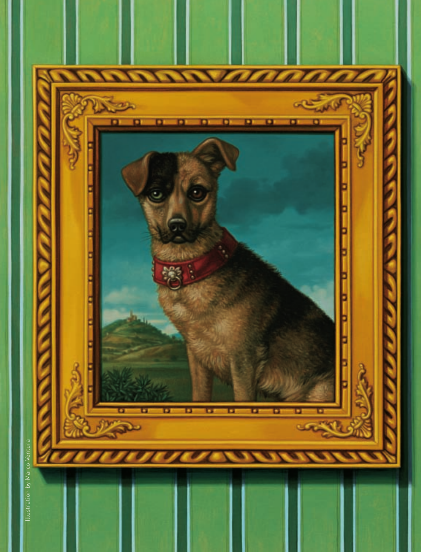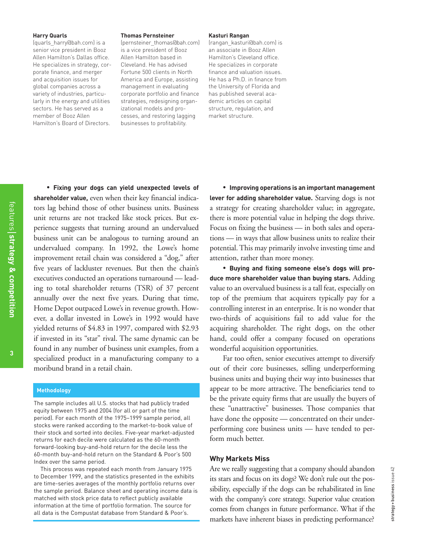#### **Harry Quarls**

(quarls\_harry@bah.com) is a senior vice president in Booz Allen Hamilton's Dallas office. He specializes in strategy, corporate finance, and merger and acquisition issues for global companies across a variety of industries, particularly in the energy and utilities sectors. He has served as a member of Booz Allen Hamilton's Board of Directors.

#### **Thomas Pernsteiner**

(pernsteiner\_thomas@bah.com) is a vice president of Booz Allen Hamilton based in Cleveland. He has advised Fortune 500 clients in North America and Europe, assisting management in evaluating corporate portfolio and finance strategies, redesigning organizational models and processes, and restoring lagging businesses to profitability.

#### **Kasturi Rangan**

(rangan\_kasturi@bah.com) is an associate in Booz Allen Hamilton's Cleveland office. He specializes in corporate finance and valuation issues. He has a Ph.D. in finance from the University of Florida and has published several academic articles on capital structure, regulation, and market structure.

• **Fixing your dogs can yield unexpected levels of shareholder value,** even when their key financial indicators lag behind those of other business units. Business unit returns are not tracked like stock prices. But experience suggests that turning around an undervalued business unit can be analogous to turning around an undervalued company. In 1992, the Lowe's home improvement retail chain was considered a "dog," after five years of lackluster revenues. But then the chain's executives conducted an operations turnaround — leading to total shareholder returns (TSR) of 37 percent annually over the next five years. During that time, Home Depot outpaced Lowe's in revenue growth. However, a dollar invested in Lowe's in 1992 would have yielded returns of \$4.83 in 1997, compared with \$2.93 if invested in its "star" rival. The same dynamic can be found in any number of business unit examples, from a specialized product in a manufacturing company to a moribund brand in a retail chain.

#### **Methodology**

The sample includes all U.S. stocks that had publicly traded equity between 1975 and 2004 (for all or part of the time period). For each month of the 1975–1999 sample period, all stocks were ranked according to the market-to-book value of their stock and sorted into deciles. Five-year market-adjusted returns for each decile were calculated as the 60-month forward-looking buy-and-hold return for the decile less the 60-month buy-and-hold return on the Standard & Poor's 500 Index over the same period.

This process was repeated each month from January 1975 to December 1999, and the statistics presented in the exhibits are time-series averages of the monthly portfolio returns over the sample period. Balance sheet and operating income data is matched with stock price data to reflect publicly available information at the time of portfolio formation. The source for all data is the Compustat database from Standard & Poor's.

• **Improving operations is an important management lever for adding shareholder value.** Starving dogs is not a strategy for creating shareholder value; in aggregate, there is more potential value in helping the dogs thrive. Focus on fixing the business — in both sales and operations — in ways that allow business units to realize their potential. This may primarily involve investing time and attention, rather than more money.

• **Buying and fixing someone else's dogs will produce more shareholder value than buying stars.** Adding value to an overvalued business is a tall feat, especially on top of the premium that acquirers typically pay for a controlling interest in an enterprise. It is no wonder that two-thirds of acquisitions fail to add value for the acquiring shareholder. The right dogs, on the other hand, could offer a company focused on operations wonderful acquisition opportunities.

Far too often, senior executives attempt to diversify out of their core businesses, selling underperforming business units and buying their way into businesses that appear to be more attractive. The beneficiaries tend to be the private equity firms that are usually the buyers of these "unattractive" businesses. Those companies that have done the opposite — concentrated on their underperforming core business units — have tended to perform much better.

## **Why Markets Miss**

Are we really suggesting that a company should abandon its stars and focus on its dogs? We don't rule out the possibility, especially if the dogs can be rehabilitated in line with the company's core strategy. Superior value creation comes from changes in future performance. What if the markets have inherent biases in predicting performance?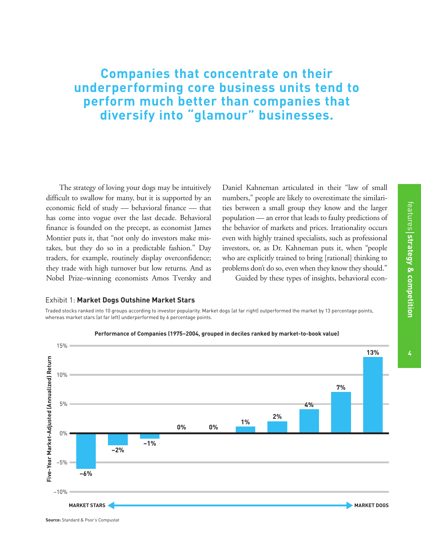# **Companies that concentrate on their underperforming core business units tend to perform much better than companies that diversify into "glamour" businesses.**

The strategy of loving your dogs may be intuitively difficult to swallow for many, but it is supported by an economic field of study — behavioral finance — that has come into vogue over the last decade. Behavioral finance is founded on the precept, as economist James Montier puts it, that "not only do investors make mistakes, but they do so in a predictable fashion." Day traders, for example, routinely display overconfidence; they trade with high turnover but low returns. And as Nobel Prize–winning economists Amos Tversky and

Daniel Kahneman articulated in their "law of small numbers," people are likely to overestimate the similarities between a small group they know and the larger population — an error that leads to faulty predictions of the behavior of markets and prices. Irrationality occurs even with highly trained specialists, such as professional investors, or, as Dr. Kahneman puts it, when "people who are explicitly trained to bring [rational] thinking to problems don't do so, even when they know they should." Guided by these types of insights, behavioral econ-

#### Exhibit 1: **Market Dogs Outshine Market Stars**

Traded stocks ranked into 10 groups according to investor popularity. Market dogs (at far right) outperformed the market by 13 percentage points, whereas market stars (at far left) underperformed by 6 percentage points.



features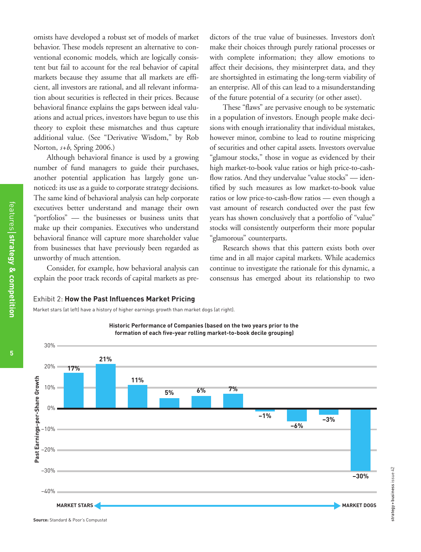omists have developed a robust set of models of market behavior. These models represent an alternative to conventional economic models, which are logically consistent but fail to account for the real behavior of capital markets because they assume that all markets are efficient, all investors are rational, and all relevant information about securities is reflected in their prices. Because behavioral finance explains the gaps between ideal valuations and actual prices, investors have begun to use this theory to exploit these mismatches and thus capture additional value. (See "Derivative Wisdom," by Rob Norton, *s+b*, Spring 2006.)

Although behavioral finance is used by a growing number of fund managers to guide their purchases, another potential application has largely gone unnoticed: its use as a guide to corporate strategy decisions. The same kind of behavioral analysis can help corporate executives better understand and manage their own "portfolios" — the businesses or business units that make up their companies. Executives who understand behavioral finance will capture more shareholder value from businesses that have previously been regarded as unworthy of much attention.

Consider, for example, how behavioral analysis can explain the poor track records of capital markets as pre-

dictors of the true value of businesses. Investors don't make their choices through purely rational processes or with complete information; they allow emotions to affect their decisions, they misinterpret data, and they are shortsighted in estimating the long-term viability of an enterprise. All of this can lead to a misunderstanding of the future potential of a security (or other asset).

These "flaws" are pervasive enough to be systematic in a population of investors. Enough people make decisions with enough irrationality that individual mistakes, however minor, combine to lead to routine mispricing of securities and other capital assets. Investors overvalue "glamour stocks," those in vogue as evidenced by their high market-to-book value ratios or high price-to-cashflow ratios. And they undervalue "value stocks" — identified by such measures as low market-to-book value ratios or low price-to-cash-flow ratios — even though a vast amount of research conducted over the past few years has shown conclusively that a portfolio of "value" stocks will consistently outperform their more popular "glamorous" counterparts.

Research shows that this pattern exists both over time and in all major capital markets. While academics continue to investigate the rationale for this dynamic, a consensus has emerged about its relationship to two

#### Exhibit 2: **How the Past Influences Market Pricing**

Market stars (at left) have a history of higher earnings growth than market dogs (at right).



**co m p etitio n**

features

**strate g y**

**&**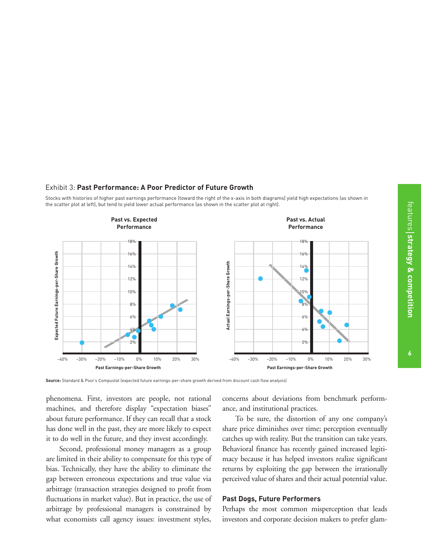features

**& co**

**m p etitio n**

# Exhibit 3: **Past Performance: A Poor Predictor of Future Growth**

Stocks with histories of higher past earnings performance (toward the right of the x-axis in both diagrams) yield high expectations (as shown in the scatter plot at left), but tend to yield lower actual performance (as shown in the scatter plot at right).



Source: Standard & Poor's Compustat (expected future earnings-per-share growth derived from discount cash flow analysis)

phenomena. First, investors are people, not rational machines, and therefore display "expectation biases" about future performance. If they can recall that a stock has done well in the past, they are more likely to expect it to do well in the future, and they invest accordingly.

Second, professional money managers as a group are limited in their ability to compensate for this type of bias. Technically, they have the ability to eliminate the gap between erroneous expectations and true value via arbitrage (transaction strategies designed to profit from fluctuations in market value). But in practice, the use of arbitrage by professional managers is constrained by what economists call agency issues: investment styles,

concerns about deviations from benchmark performance, and institutional practices.

To be sure, the distortion of any one company's share price diminishes over time; perception eventually catches up with reality. But the transition can take years. Behavioral finance has recently gained increased legitimacy because it has helped investors realize significant returns by exploiting the gap between the irrationally perceived value of shares and their actual potential value.

#### **Past Dogs, Future Performers**

Perhaps the most common misperception that leads investors and corporate decision makers to prefer glam-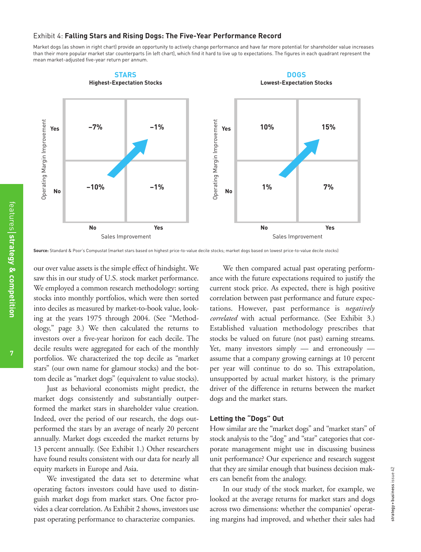#### Exhibit 4: **Falling Stars and Rising Dogs: The Five-Year Performance Record**

Market dogs (as shown in right chart) provide an opportunity to actively change performance and have far more potential for shareholder value increases than their more popular market star counterparts (in left chart), which find it hard to live up to expectations. The figures in each quadrant represent the mean market-adjusted five-year return per annum. **b**<br>**C**<br>**DOGS** 



Source: Standard & Poor's Compustat (market stars based on highest price-to-value decile stocks; market dogs based on lowest price-to-value decile stocks)

our over value assets is the simple effect of hindsight. We saw this in our study of U.S. stock market performance. We employed a common research methodology: sorting stocks into monthly portfolios, which were then sorted into deciles as measured by market-to-book value, looking at the years 1975 through 2004. (See "Methodology," page 3.) We then calculated the returns to investors over a five-year horizon for each decile. The decile results were aggregated for each of the monthly portfolios. We characterized the top decile as "market stars" (our own name for glamour stocks) and the bottom decile as "market dogs" (equivalent to value stocks).

Just as behavioral economists might predict, the market dogs consistently and substantially outperformed the market stars in shareholder value creation. Indeed, over the period of our research, the dogs outperformed the stars by an average of nearly 20 percent annually. Market dogs exceeded the market returns by 13 percent annually. (See Exhibit 1.) Other researchers have found results consistent with our data for nearly all equity markets in Europe and Asia.

We investigated the data set to determine what operating factors investors could have used to distinguish market dogs from market stars. One factor provides a clear correlation. As Exhibit 2 shows, investors use past operating performance to characterize companies.

We then compared actual past operating performance with the future expectations required to justify the current stock price. As expected, there is high positive correlation between past performance and future expectations. However, past performance is *negatively correlated* with actual performance. (See Exhibit 3.) Established valuation methodology prescribes that stocks be valued on future (not past) earning streams. Yet, many investors simply — and erroneously assume that a company growing earnings at 10 percent per year will continue to do so. This extrapolation, unsupported by actual market history, is the primary driver of the difference in returns between the market dogs and the market stars.

### **Letting the "Dogs" Out**

How similar are the "market dogs" and "market stars" of stock analysis to the "dog" and "star" categories that corporate management might use in discussing business unit performance? Our experience and research suggest that they are similar enough that business decision makers can benefit from the analogy.

In our study of the stock market, for example, we looked at the average returns for market stars and dogs across two dimensions: whether the companies' operating margins had improved, and whether their sales had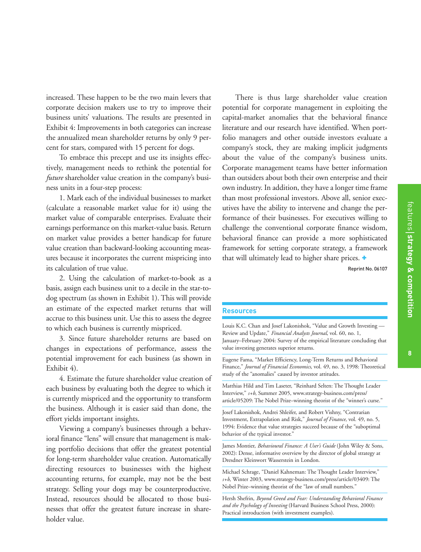increased. These happen to be the two main levers that corporate decision makers use to try to improve their business units' valuations. The results are presented in Exhibit 4: Improvements in both categories can increase the annualized mean shareholder returns by only 9 percent for stars, compared with 15 percent for dogs.

To embrace this precept and use its insights effectively, management needs to rethink the potential for *future* shareholder value creation in the company's business units in a four-step process:

1. Mark each of the individual businesses to market (calculate a reasonable market value for it) using the market value of comparable enterprises. Evaluate their earnings performance on this market-value basis. Return on market value provides a better handicap for future value creation than backward-looking accounting measures because it incorporates the current mispricing into its calculation of true value.

2. Using the calculation of market-to-book as a basis, assign each business unit to a decile in the star-todog spectrum (as shown in Exhibit 1). This will provide an estimate of the expected market returns that will accrue to this business unit. Use this to assess the degree to which each business is currently mispriced.

3. Since future shareholder returns are based on changes in expectations of performance, assess the potential improvement for each business (as shown in Exhibit 4).

4. Estimate the future shareholder value creation of each business by evaluating both the degree to which it is currently mispriced and the opportunity to transform the business. Although it is easier said than done, the effort yields important insights.

Viewing a company's businesses through a behavioral finance "lens" will ensure that management is making portfolio decisions that offer the greatest potential for long-term shareholder value creation. Automatically directing resources to businesses with the highest accounting returns, for example, may not be the best strategy. Selling your dogs may be counterproductive. Instead, resources should be allocated to those businesses that offer the greatest future increase in shareholder value.

There is thus large shareholder value creation potential for corporate management in exploiting the capital-market anomalies that the behavioral finance literature and our research have identified. When portfolio managers and other outside investors evaluate a company's stock, they are making implicit judgments about the value of the company's business units. Corporate management teams have better information than outsiders about both their own enterprise and their own industry. In addition, they have a longer time frame than most professional investors. Above all, senior executives have the ability to intervene and change the performance of their businesses. For executives willing to challenge the conventional corporate finance wisdom, behavioral finance can provide a more sophisticated framework for setting corporate strategy, a framework that will ultimately lead to higher share prices. **+**

Reprint No. 06107

#### **Resources**

Louis K.C. Chan and Josef Lakonishok, "Value and Growth Investing — Review and Update," *Financial Analysts Journal*, vol. 60, no. 1, January–February 2004: Survey of the empirical literature concluding that value investing generates superior returns.

Eugene Fama, "Market Efficiency, Long-Term Returns and Behavioral Finance," *Journal of Financial Economics*, vol. 49, no. 3, 1998: Theoretical study of the "anomalies" caused by investor attitudes.

Matthias Hild and Tim Laseter, "Reinhard Selten: The Thought Leader Interview," *s+b*, Summer 2005, www.strategy-business.com/press/ article/05209: The Nobel Prize–winning theorist of the "winner's curse."

Josef Lakonishok, Andrei Shleifer, and Robert Vishny, "Contrarian Investment, Extrapolation and Risk," *Journal of Finance*, vol. 49, no. 5, 1994: Evidence that value strategies succeed because of the "suboptimal behavior of the typical investor."

James Montier, *Behavioural Finance: A User's Guide* (John Wiley & Sons, 2002): Dense, informative overview by the director of global strategy at Dresdner Kleinwort Wasserstein in London.

Michael Schrage, "Daniel Kahneman: The Thought Leader Interview," *s+b*, Winter 2003, www.strategy-business.com/press/article/03409: The Nobel Prize–winning theorist of the "law of small numbers."

Hersh Shefrin, *Beyond Greed and Fear: Understanding Behavioral Finance and the Psychology of Investing* (Harvard Business School Press, 2000): Practical introduction (with investment examples).